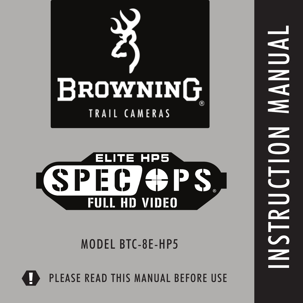



MODEL BTC-8E-HP5

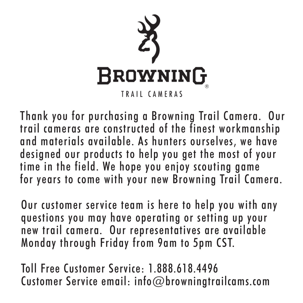

Thank you for purchasing a Browning Trail Camera. Our trail cameras are constructed of the finest workmanship and materials available. As hunters ourselves, we have designed our products to help you get the most of your time in the field. We hope you enjoy scouting game for years to come with your new Browning Trail Camera.

Our customer service team is here to help you with any questions you may have operating or setting up your new trail camera. Our representatives are available Monday through Friday from 9am to 5pm CST.

Toll Free Customer Service: 1.888.618.4496 Customer Service email: info@browningtrailcams.com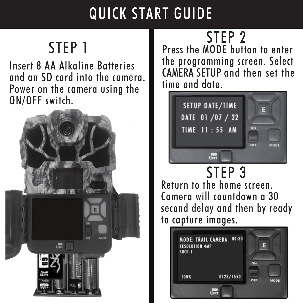# QUICK START GUIDE

# STEP 1

Insert 8 AA Alkaline Batteries and an SD card into the camera. Power on the camera using the ON/OFF switch.



STEP 2 Press the MODE button to enter the programming screen. Select CAMERA SETUP and then set the time and date.



STEP 3 Return to the home screen. Camera will countdown a 30 second delay and then by ready to capture images.

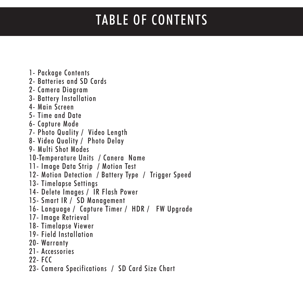# TABLE OF CONTENTS

1- Package Contents 2- Batteries and SD Cards 2- Camera Diagram 3- Battery Installation 4- Main Screen 5- Time and Date 6- Capture Mode 7- Photo Quality / Video Length 8- Video Quality / Photo Delay 9- Multi Shot Modes 10-Temperature Units / Canera Name 11- Image Data Strip / Motion Test 12- Motion Detection / Battery Type / Trigger Speed 13- Timelapse Settings 14- Delete Images / IR Flash Power 15- Smart IR / SD Management 16- Language / Capture Timer / HDR / FW Upgrade 17- Image Retrieval 18- Timelapse Viewer 19- Field Installation 20- Warranty 21- Accessories 22- FCC 23- Camera Specifications / SD Card Size Chart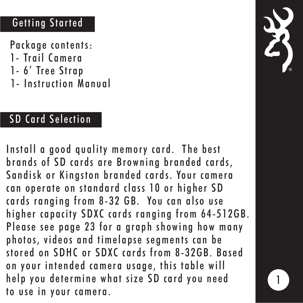## Getting Started

Package contents:

- 1- Trail Camera
- 1- 6' Tree Strap
- 1- Instruction Manual

## SD Card Selection

Install a good quality memory card. The best brands of SD cards are Browning branded cards, Sandisk or Kingston branded cards. Your camera can operate on standard class 10 or higher SD cards ranging from 8-32 GB. You can also use higher capacity SDXC cards ranging from 64-512GB. Please see page 23 for a graph showing how many photos, videos and timelapse segments can be stored on SDHC or SDXC cards from 8-32GB. Based on your intended camera usage, this table will help you determine what size SD card you need to use in your camera.

1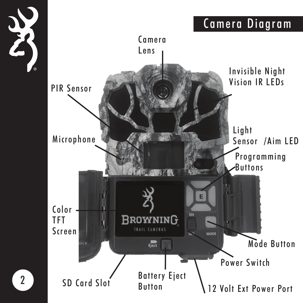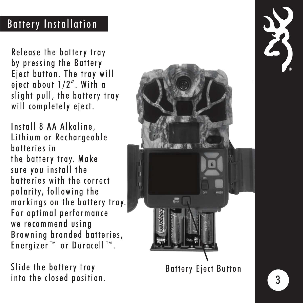## Battery Installation

Release the battery tray by pressing the Battery Eject button. The tray will eject about 1/2". With a slight pull, the battery tray will completely eject.

Install 8 AA Alkaline, Lithium or Rechargeable batteries in the battery tray. Make sure you install the batteries with the correct polarity, following the markings on the battery tray. For optimal performance we recommend using Browning branded batteries, Energizer ™ or Duracell ™ .

Slide the battery tray into the closed position.

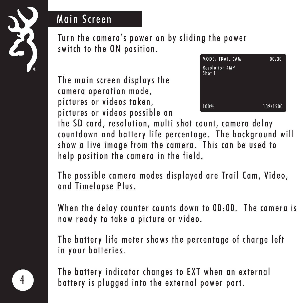

#### Main Screen

Turn the camera's power on by sliding the power switch to the ON position.

The main screen displays the camera operation mode, pictures or videos taken, pictures or videos possible on



the SD card, resolution, multi shot count, camera delay countdown and battery life percentage. The background will show a live image from the camera. This can be used to help position the camera in the field.

The possible camera modes displayed are Trail Cam, Video, and Timelapse Plus.

When the delay counter counts down to 00:00. The camera is now ready to take a picture or video.

The battery life meter shows the percentage of charge left in your batteries.

The battery indicator changes to EXT when an external battery is plugged into the external power port.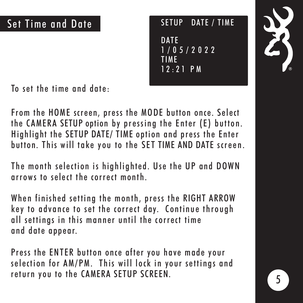SETUP DATE / TIME **DATE** 1/05/2022 TIME 12:21 PM

To set the time and date:

From the HOME screen, press the MODE button once. Select the CAMERA SETUP option by pressing the Enter (E) button. Highlight the SETUP DATE/ TIME option and press the Enter button. This will take you to the SET TIME AND DATE screen.

The month selection is highlighted. Use the UP and DOWN arrows to select the correct month.

When finished setting the month, press the RIGHT ARROW key to advance to set the correct day. Continue through all settings in this manner until the correct time and date appear.

Press the ENTER button once after you have made your selection for AM/PM. This will lock in your settings and return you to the CAMERA SETUP SCREEN.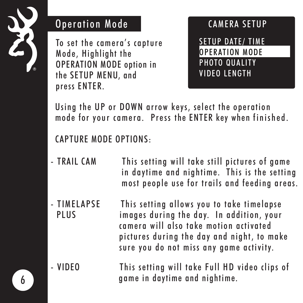

#### Operation Mode

To set the camera's capture Mode, Highlight the OPERATION MODE option in the SETUP MENU, and press ENTER.

#### CAMERA SETUP SETUP DATE/ TIME OPERATION MODE PHOTO QUALITY VIDEO LENGTH

Using the UP or DOWN arrow keys, select the operation mode for your camera. Press the ENTER key when finished.

#### CAPTURE MODE OPTIONS:

- TRAIL CAM This setting will take still pictures of game in daytime and nightime. This is the setting most people use for trails and feeding areas.
- TIMELAPSE This setting allows you to take timelapse PLUS images during the day. In addition, your camera will also take motion activated pictures during the day and night, to make sure you do not miss any game activity.
- VIDEO This setting will take Full HD video clips of game in daytime and nightime.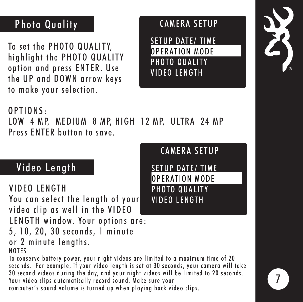## Photo Quality

To set the PHOTO QUALITY, highlight the PHOTO QUALITY option and press ENTER. Use the UP and DOWN arrow keys to make your selection.

#### CAMERA SETUP

SETUP DATE/ TIME OPERATION MODE PHOTO QUALITY VIDEO LENGTH



#### OPTIONS:

LOW 4 MP, MEDIUM 8 MP, HIGH 12 MP, ULTRA 24 MP Press ENTER button to save.

#### Video Length

#### VIDEO LENGTH

You can select the length of your video clip as well in the VIDEO LENGTH window. Your options are: 5, 10, 20, 30 seconds, 1 minute or 2 minute lengths.

NOTES:

To conserve battery power, your night videos are limited to a maximum time of 20 seconds. For example, if your video length is set at 30 seconds, your camera will take 30 second videos during the day, and your night videos will be limited to 20 seconds. Your video clips automatically record sound. Make sure your computer's sound volume is turned up when playing back video clips.



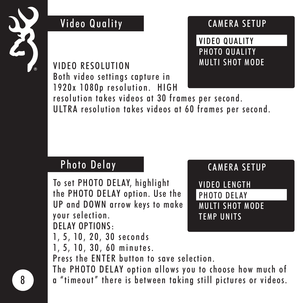

#### Video Quality

#### CAMERA SETUP

VIDEO QUALITY PHOTO QUALITY MULTI SHOT MODE

VIDEO RESOLUTION Both video settings capture in 1920x 1080p resolution. HIGH resolution takes videos at 30 frames per second. ULTRA resolution takes videos at 60 frames per second.

## Photo Delay

To set PHOTO DELAY, highlight the PHOTO DELAY option. Use the UP and DOWN arrow keys to make your selection. DELAY OPTIONS:

CAMERA SETUP VIDEO LENGTH PHOTO DELAY MULTI SHOT MODE TEMP UNITS

1, 5, 10, 20, 30 seconds

1, 5, 10, 30, 60 minutes.

Press the ENTER button to save selection.

The PHOTO DELAY option allows you to choose how much of a "timeout" there is between taking still pictures or videos.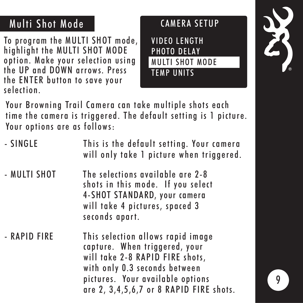## Multi Shot Mode

To program the MULTI SHOT mode, highlight the MULTI SHOT MODE option. Make your selection using the UP and DOWN arrows. Press the ENTER button to save your selection.

#### CAMERA SETUP

VIDEO LENGTH PHOTO DELAY MULTI SHOT MODE TEMP UNITS



Your Browning Trail Camera can take multiple shots each time the camera is triggered. The default setting is 1 picture. Your options are as follows:

| - SINGLE     | This is the default setting. Your camera<br>will only take 1 picture when triggered.                                                                                                                                  |
|--------------|-----------------------------------------------------------------------------------------------------------------------------------------------------------------------------------------------------------------------|
| - MULTI SHOT | The selections available are 2-8<br>shots in this mode. If you select<br>4-SHOT STANDARD, your camera<br>will take 4 pictures, spaced 3<br>seconds apart.                                                             |
| - RAPID FIRE | This selection allows rapid image<br>capture. When triggered, your<br>will take 2-8 RAPID FIRE shots,<br>with only 0.3 seconds between<br>pictures. Your available options<br>are 2, 3,4,5,6,7 or 8 RAPID FIRE shots. |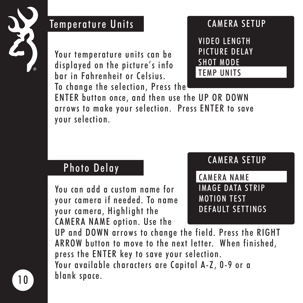

#### Temperature Units

Your temperature units can be displayed on the picture's info bar in Fahrenheit or Celsius. To change the selection, Press the

#### CAMERA SETUP

VIDEO LENGTH PICTURE DELAY SHOT MODE TEMP UNITS

ENTER button once, and then use the UP OR DOWN arrows to make your selection. Press ENTER to save your selection.

#### Photo Delay

You can add a custom name for your camera if needed. To name your camera, Highlight the CAMERA NAME option. Use the

#### CAMERA SETUP

CAMERA NAME IMAGE DATA STRIP MOTION TEST DEFAULT SETTINGS

UP and DOWN arrows to change the field. Press the RIGHT ARROW button to move to the next letter. When finished, press the ENTER key to save your selection. Your available characters are Capital A-Z, 0-9 or a blank space.

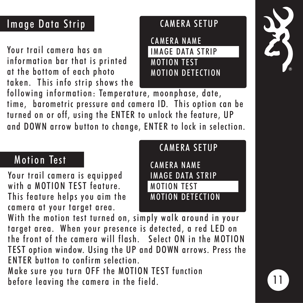## Image Data Strip

Your trail camera has an information bar that is printed at the bottom of each photo taken. This info strip shows the

#### CAMERA SETUP

CAMERA NAME IMAGE DATA STRIP MOTION TEST MOTION DETECTION

following information: Temperature, moonphase, date, time, barometric pressure and camera ID. This option can be turned on or off, using the ENTER to unlock the feature, UP and DOWN arrow button to change, ENTER to lock in selection.

## Motion Test

Your trail camera is equipped with a MOTION TEST feature. This feature helps you aim the camera at your target area.

## CAMERA SETUP CAMERA NAME IMAGE DATA STRIP MOTION TEST MOTION DETECTION

With the motion test turned on, simply walk around in your target area. When your presence is detected, a red LED on the front of the camera will flash. Select ON in the MOTION TEST option window. Using the UP and DOWN arrows. Press the ENTER button to confirm selection.

Make sure you turn OFF the MOTION TEST function before leaving the camera in the field.

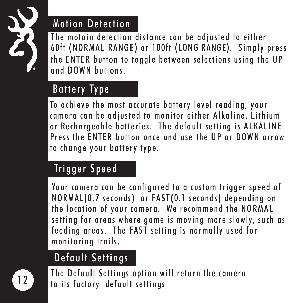

## Motion Detection

The motoin detection distance can be adjusted to either 60ft (NORMAL RANGE) or 100ft (LONG RANGE). Simply press the ENTER button to toggle between selections using the UP and DOWN buttons.

## Battery Type

To achieve the most accurate battery level reading, your camera can be adjusted to monitor either Alkaline, Lithium or Rechargeable batteries. The default setting is ALKALINE. Press the ENTER button once and use the UP or DOWN arrow to change your battery type.

## Trigger Speed

Your camera can be configured to a custom trigger speed of NORMAL(0.7 seconds) or FAST(0.1 seconds) depending on the location of your camera. We recommend the NORMAL setting for areas where game is moving more slowly, such as feeding areas. The FAST setting is normally used for monitoring trails.

## Default Settings

The Default Settings option will return the camera to its factory default settings

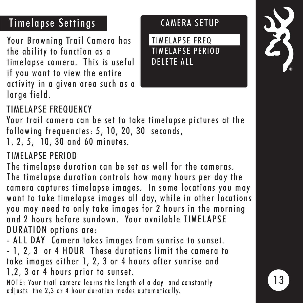## Timelapse Settings

Your Browning Trail Camera has the ability to function as a timelapse camera. This is useful if you want to view the entire activity in a given area such as a large field.

#### CAMERA SETUP

TIMELAPSE FREQ TIMELAPSE PERIOD DELETE ALL



#### TIMELAPSE FREQUENCY

Your trail camera can be set to take timelapse pictures at the following frequencies: 5, 10, 20, 30 seconds,

1, 2, 5, 10, 30 and 60 minutes.

#### TIMELAPSE PERIOD

The timelapse duration can be set as well for the cameras. The timelapse duration controls how many hours per day the camera captures timelapse images. In some locations you may want to take timelapse images all day, while in other locations you may need to only take images for 2 hours in the morning and 2 hours before sundown. Your available TIMELAPSE DURATION options are:

- ALL DAY Camera takes images from sunrise to sunset. - 1, 2, 3 or 4 HOUR These durations limit the camera to take images either 1, 2, 3 or 4 hours after sunrise and 1,2, 3 or 4 hours prior to sunset.

NOTE: Your trail camera learns the length of a day and constantly adjusts the 2,3 or 4 hour duration modes automatically.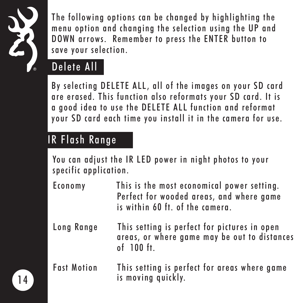

The following options can be changed by highlighting the menu option and changing the selection using the UP and DOWN arrows. Remember to press the ENTER button to save your selection.

## Delete All

By selecting DELETE ALL, all of the images on your SD card are erased. This function also reformats your SD card. It is a good idea to use the DELETE ALL function and reformat your SD card each time you install it in the camera for use.

## IR Flash Range

You can adjust the IR LED power in night photos to your specific application.

- Economy This is the most economical power setting. Perfect for wooded areas, and where game is within 60 ft. of the camera.
- Long Range This setting is perfect for pictures in open areas, or where game may be out to distances of 100 ft.
- Fast Motion This setting is perfect for areas where game is moving quickly.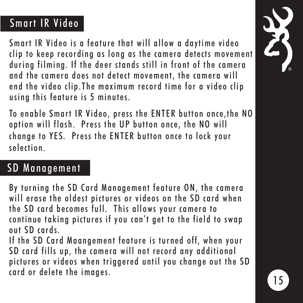## Smart IR Video

Smart IR Video is a feature that will allow a daytime video clip to keep recording as long as the camera detects movement during filming. If the deer stands still in front of the camera and the camera does not detect movement, the camera will end the video clip.The maximum record time for a video clip using this feature is 5 minutes.

To enable Smart IR Video, press the ENTER button once,the NO option will flash. Press the UP button once, the NO will change to YES. Press the ENTER button once to lock your selection.

#### SD Management

By turning the SD Card Management feature ON, the camera will erase the oldest pictures or videos on the SD card when the SD card becomes full. This allows your camera to continue taking pictures if you can't get to the field to swap out SD cards.

If the SD Card Maangement feature is turned off, when your SD card fills up, the camera will not record any additional pictures or videos when triggered until you change out the SD card or delete the images.

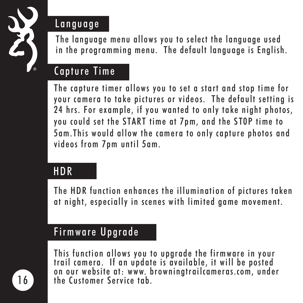

#### Language

The language menu allows you to select the language used in the programming menu. The default language is English.

#### Capture Time

The capture timer allows you to set a start and stop time for your camera to take pictures or videos. The default setting is 24 hrs. For example, if you wanted to only take night photos, you could set the START time at 7pm, and the ST0P time to 5am.This would allow the camera to only capture photos and videos from 7pm until 5am.

#### **HDR**

The HDR function enhances the illumination of pictures taken at night, especially in scenes with limited game movement.

#### Firmware Upgrade

This function allows you to upgrade the firmware in your trail camera. If an update is available, it will be posted on our website at: www. browningtrailcameras.com, under the Customer Service tab.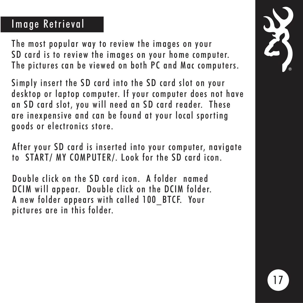#### Image Retrieval

The most popular way to review the images on your SD card is to review the images on your home computer. The pictures can be viewed on both PC and Mac computers.

Simply insert the SD card into the SD card slot on your desktop or laptop computer. If your computer does not have an SD card slot, you will need an SD card reader. These are inexpensive and can be found at your local sporting goods or electronics store.

 After your SD card is inserted into your computer, navigate to START/ MY COMPUTER/. Look for the SD card icon.

 Double click on the SD card icon. A folder named DCIM will appear. Double click on the DCIM folder. A new folder appears with called 100\_BTCF. Your pictures are in this folder.

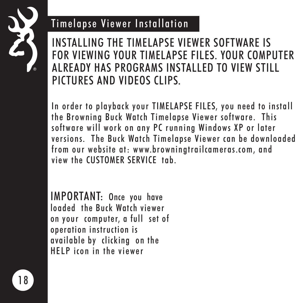

#### Timelapse Viewer Installation

INSTALLING THE TIMELAPSE VIEWER SOFTWARE IS FOR VIEWING YOUR TIMELAPSE FILES. YOUR COMPUTER ALREADY HAS PROGRAMS INSTALLED TO VIEW STILL PICTURES AND VIDEOS CLIPS.

In order to playback your TIMELAPSE FILES, you need to install the Browning Buck Watch Timelapse Viewer software. This software will work on any PC running Windows XP or later versions. The Buck Watch Timelapse Viewer can be downloaded from our website at: www.browningtrailcameras.com, and view the CUSTOMER SERVICE tab.

IMPORTANT: Once you have loaded the Buck Watch viewer on your computer, a full set of operation instruction is available by clicking on the HELP icon in the viewer

1 8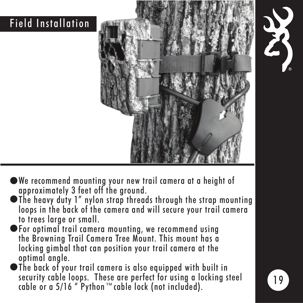## Field Installation





- We recommend mounting your new trail camera at a height of approximately 3 feet off the ground.
- The heavy duty 1" nylon strap threads through the strap mounting loops in the back of the camera and will secure your trail camera to trees large or small.
- $\blacktriangleright$  For optimal trail camera mounting, we recommend using the Browning Trail Camera Tree Mount. This mount has a locking gimbal that can position your trail camera at the optimal angle.
- The back of your trail camera is also equipped with built in security cable loops. These are perfect for using a locking steel cable or a 5/16 " Python™cable lock (not included).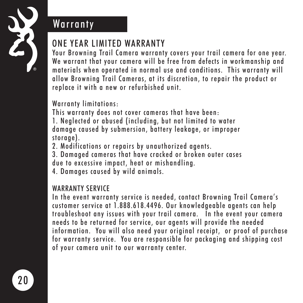

#### **Warranty**

#### ONE YEAR LIMITED WARRANTY

Your Browning Trail Camera warranty covers your trail camera for one year. We warrant that your camera will be free from defects in workmanship and materials when operated in normal use and conditions. This warranty will allow Browning Trail Cameras, at its discretion, to repair the product or replace it with a new or refurbished unit.

#### Warranty limitations:

This warranty does not cover cameras that have been: 1. Neglected or abused (including, but not limited to water damage caused by submersion, battery leakage, or improper storage).

- 2. Modifications or repairs by unauthorized agents.
- 3. Damaged cameras that have cracked or broken outer cases due to excessive impact, heat or mishandling.
- 4. Damages caused by wild animals.

#### WARRANTY SFRVICE

In the event warranty service is needed, contact Browning Trail Camera's customer service at 1.888.618.4496. Our knowledgeable agents can help troubleshoot any issues with your trail camera. In the event your camera needs to be returned for service, our agents will provide the needed information. You will also need your original receipt, or proof of purchase for warranty service. You are responsible for packaging and shipping cost of your camera unit to our warranty center.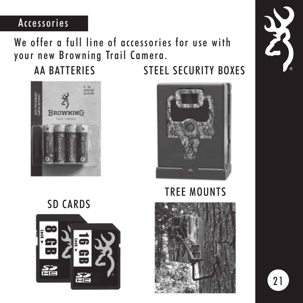#### Accessories

#### We offer a full line of accessories for use with your new Browning Trail Camera.

## AA BATTERIES STEEL SECURITY BOXES





## TREE MOUNTS



# SD CARDS



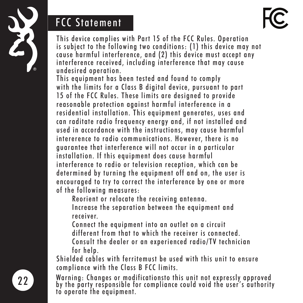

#### FCC Statement



This device complies with Part 15 of the FCC Rules. Operation is subject to the following two conditions: (1) this device may not cause harmful interference, and (2) this device must accept any interference received, including interference that may cause undesired operation.

This equipment has been tested and found to comply with the limits for a Class B digital device, pursuant to part 15 of the FCC Rules. These limits are designed to provide reasonable protection against harmful interference in a residential installation. This equipment generates, uses and can raditate radio frequency energy and, if not installed and used in accordance with the instructions, may cause harmful intererence to radio communications. However, there is no guarantee that interference will not occur in a particular installation. If this equipment does cause harmful interference to radio or television reception, which can be determined by turning the equipment off and on, the user is encouraged to try to correct the interference by one or more of the following measures:

Reorient or relocate the receiving antenna.

 Increase the separation between the equipment and receiver.

 Connect the equipment into an outlet on a circuit different from that to which the receiver is connected. Consult the dealer or an experienced radio/TV technician for help.

Shielded cables with ferritemust be used with this unit to ensure compliance with the Class B FCC limits.

Warning: Changes or modificationsto this unit not expressly approved by the party responsible for compliance could void the user's authority to operate the equipment.

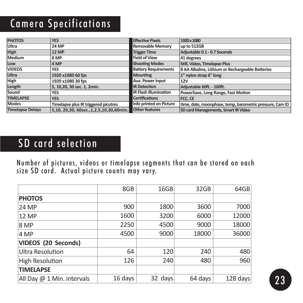## Camera Specifications

| <b>PHOTOS</b>           | <b>YES</b>                                   | <b>Effective Pixels</b>                             | 1920 x 1080                                              |  |
|-------------------------|----------------------------------------------|-----------------------------------------------------|----------------------------------------------------------|--|
| Ultra                   | <b>24 MP</b>                                 | <b>Removable Memory</b>                             | up to 512GB                                              |  |
| <b>High</b>             | <b>12 MP</b>                                 | <b>Trigger Time</b><br>Adjustable 0.1 - 0.7 Seconds |                                                          |  |
| Medium                  | 8 MP                                         | <b>Field of View</b>                                | 41 degrees                                               |  |
| Low                     | 4 MP                                         | <b>Shooting Modes</b>                               | Still, Video, Timelapse Plus                             |  |
| <b>VIDEOS</b>           | YES                                          | <b>Battery Requirements</b>                         | 8 AA Alkaline, Lithium or Rechargeable Batteries         |  |
| Ultra                   | 1920 x1080 60 fps                            | <b>Mounting</b>                                     | 1" nylon strap 6" long                                   |  |
| <b>High</b>             | 1920 x1080 30 fps                            | <b>Aux. Power Input</b>                             | 12V                                                      |  |
| Length                  | 5. 10.20. 30 sec. 1. 2min.                   | <b>IR Detection</b>                                 | Adiustable 60ft. - 100ft.                                |  |
| Sound                   | <b>YES</b>                                   | <b>IR Flash Illumination</b>                        | PowerSave, Long Range, Fast Motion                       |  |
| <b>TIMELAPSE</b>        | <b>YES</b>                                   | <b>Certifications</b>                               | FCC. CE                                                  |  |
| <b>Modes</b>            | Timelapse plus IR triggered picutres         | Info printed on Picture                             | time, date, moonphase, temp, barometric pressure, Cam ID |  |
| <b>Timelapse Delays</b> | 5,10, 20,30, 60sec., 1, 2, 5, 10, 30, 60min. | <b>Other features</b>                               | SD card Managements, Smart IR Video                      |  |

#### SD card selection

Number of pictures, videos or timelapse segments that can be stored on each size SD card. Actual picture counts may vary.

|                            | 8GB     | 16GB    | 32GB    | 64GB       |
|----------------------------|---------|---------|---------|------------|
| <b>PHOTOS</b>              |         |         |         |            |
| 24 MP                      | 900     | 1800    | 3600    | 7000       |
| 12 MP                      | 1600    | 3200    | 6000    | 12000      |
| 8 MP                       | 2250    | 4500    | 9000    | 18000      |
| 4 MP                       | 4500    | 9000    | 18000   | 36000      |
| VIDEOS (20 Seconds)        |         |         |         |            |
| Ultra Resolution           | 64      | 120     | 240     | 480        |
| <b>High Resolution</b>     | 126     | 240     | 480     | 960        |
| <b>TIMELAPSE</b>           |         |         |         |            |
| All Day @ 1 Min. intervals | 16 days | 32 days | 64 days | $128$ days |